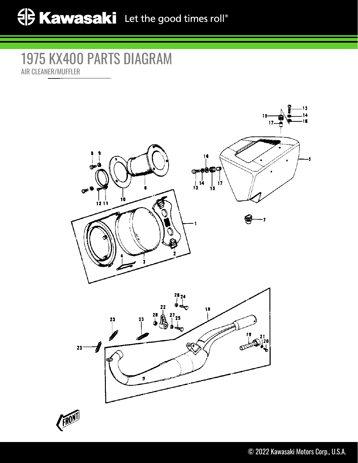## 1975 KX400 PARTS DIAGRAM AIR CLEANER/MUFFLER